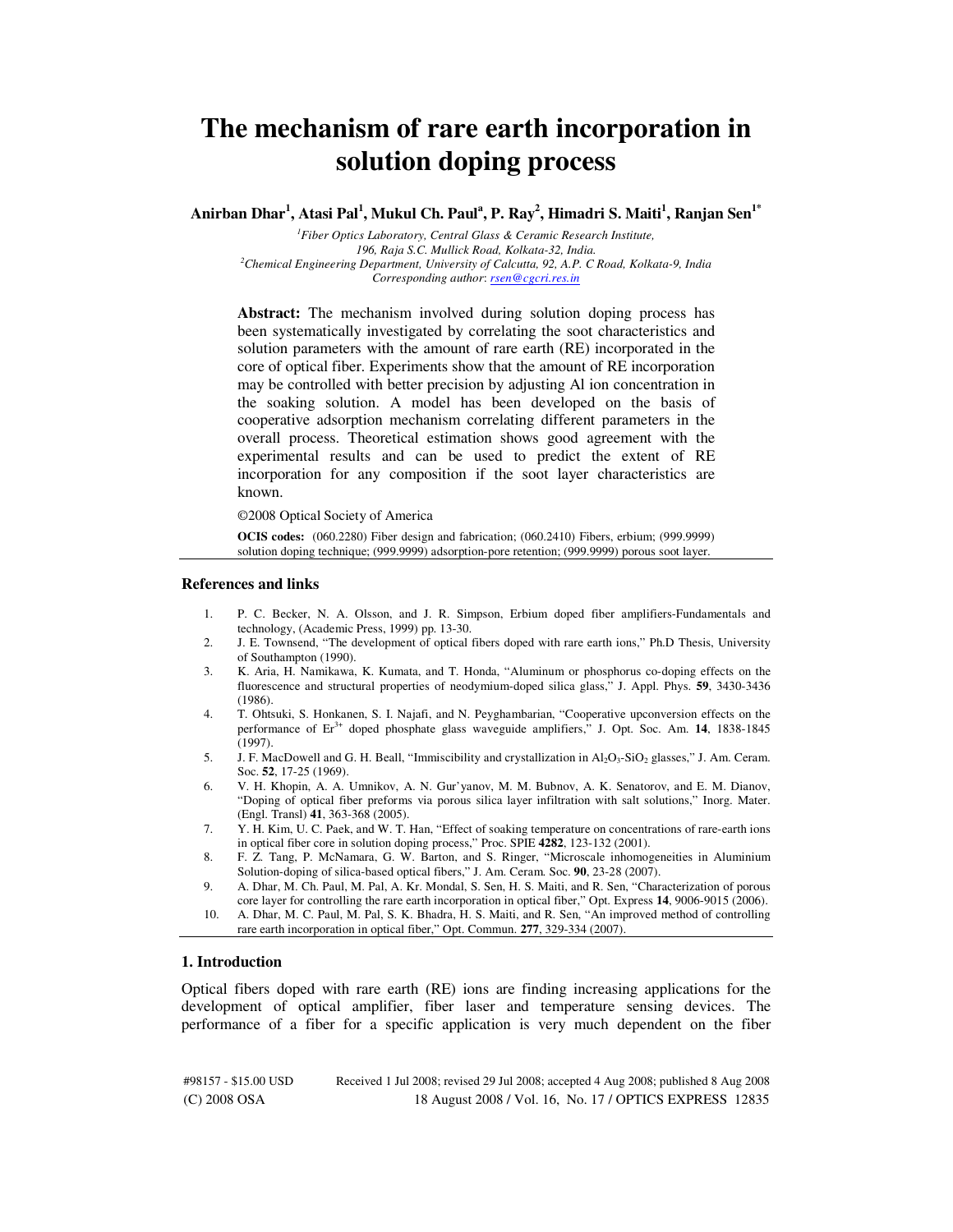# **The mechanism of rare earth incorporation in solution doping process**

**Anirban Dhar<sup>1</sup> , Atasi Pal<sup>1</sup> , Mukul Ch. Paul<sup>a</sup> , P. Ray<sup>2</sup> , Himadri S. Maiti<sup>1</sup> , Ranjan Sen1\***

*<sup>1</sup>Fiber Optics Laboratory, Central Glass & Ceramic Research Institute, 196, Raja S.C. Mullick Road, Kolkata-32, India. <sup>2</sup>Chemical Engineering Department, University of Calcutta, 92, A.P. C Road, Kolkata-9, India Corresponding author*: *rsen@cgcri.res.in*

**Abstract:** The mechanism involved during solution doping process has been systematically investigated by correlating the soot characteristics and solution parameters with the amount of rare earth (RE) incorporated in the core of optical fiber. Experiments show that the amount of RE incorporation may be controlled with better precision by adjusting Al ion concentration in the soaking solution. A model has been developed on the basis of cooperative adsorption mechanism correlating different parameters in the overall process. Theoretical estimation shows good agreement with the experimental results and can be used to predict the extent of RE incorporation for any composition if the soot layer characteristics are known.

©2008 Optical Society of America

**OCIS codes:** (060.2280) Fiber design and fabrication; (060.2410) Fibers, erbium; (999.9999) solution doping technique; (999.9999) adsorption-pore retention; (999.9999) porous soot layer.

#### **References and links**

- 1. P. C. Becker, N. A. Olsson, and J. R. Simpson, Erbium doped fiber amplifiers-Fundamentals and technology, (Academic Press, 1999) pp. 13-30.
- 2. J. E. Townsend, "The development of optical fibers doped with rare earth ions," Ph.D Thesis, University of Southampton (1990).
- 3. K. Aria, H. Namikawa, K. Kumata, and T. Honda, "Aluminum or phosphorus co-doping effects on the fluorescence and structural properties of neodymium-doped silica glass," J. Appl. Phys. **59**, 3430-3436 (1986).
- 4. T. Ohtsuki, S. Honkanen, S. I. Najafi, and N. Peyghambarian, "Cooperative upconversion effects on the performance of Er<sup>3+</sup> doped phosphate glass waveguide amplifiers," J. Opt. Soc. Am. 14, 1838-1845  $(1997)$ .
- 5. J. F. MacDowell and G. H. Beall, "Immiscibility and crystallization in Al<sub>2</sub>O<sub>3</sub>-SiO<sub>2</sub> glasses," J. Am. Ceram. Soc. **52**, 17-25 (1969).
- 6. V. H. Khopin, A. A. Umnikov, A. N. Gur'yanov, M. M. Bubnov, A. K. Senatorov, and E. M. Dianov, "Doping of optical fiber preforms via porous silica layer infiltration with salt solutions," Inorg. Mater. (Engl. Transl) **41**, 363-368 (2005).
- 7. Y. H. Kim, U. C. Paek, and W. T. Han, "Effect of soaking temperature on concentrations of rare-earth ions in optical fiber core in solution doping process," Proc. SPIE **4282**, 123-132 (2001).
- 8. F. Z. Tang, P. McNamara, G. W. Barton, and S. Ringer, "Microscale inhomogeneities in Aluminium Solution-doping of silica-based optical fibers," J. Am. Ceram. Soc. **90**, 23-28 (2007).
- 9. A. Dhar, M. Ch. Paul, M. Pal, A. Kr. Mondal, S. Sen, H. S. Maiti, and R. Sen, "Characterization of porous core layer for controlling the rare earth incorporation in optical fiber," Opt. Express **14**, 9006-9015 (2006).
- 10. A. Dhar, M. C. Paul, M. Pal, S. K. Bhadra, H. S. Maiti, and R. Sen, "An improved method of controlling rare earth incorporation in optical fiber," Opt. Commun. **277**, 329-334 (2007).

# **1. Introduction**

Optical fibers doped with rare earth (RE) ions are finding increasing applications for the development of optical amplifier, fiber laser and temperature sensing devices. The performance of a fiber for a specific application is very much dependent on the fiber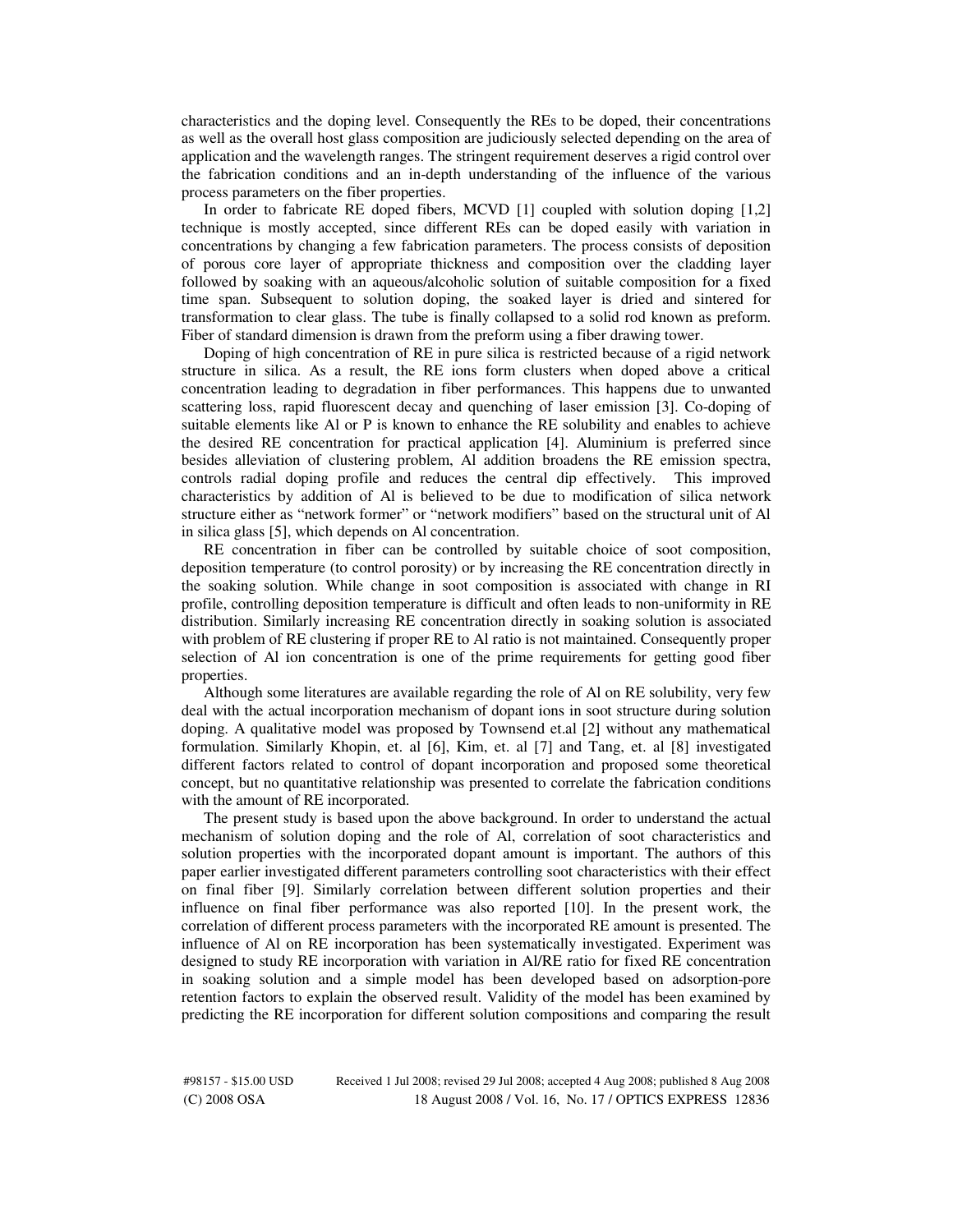characteristics and the doping level. Consequently the REs to be doped, their concentrations as well as the overall host glass composition are judiciously selected depending on the area of application and the wavelength ranges. The stringent requirement deserves a rigid control over the fabrication conditions and an in-depth understanding of the influence of the various process parameters on the fiber properties.

In order to fabricate RE doped fibers, MCVD [1] coupled with solution doping [1,2] technique is mostly accepted, since different REs can be doped easily with variation in concentrations by changing a few fabrication parameters. The process consists of deposition of porous core layer of appropriate thickness and composition over the cladding layer followed by soaking with an aqueous/alcoholic solution of suitable composition for a fixed time span. Subsequent to solution doping, the soaked layer is dried and sintered for transformation to clear glass. The tube is finally collapsed to a solid rod known as preform. Fiber of standard dimension is drawn from the preform using a fiber drawing tower.

Doping of high concentration of RE in pure silica is restricted because of a rigid network structure in silica. As a result, the RE ions form clusters when doped above a critical concentration leading to degradation in fiber performances. This happens due to unwanted scattering loss, rapid fluorescent decay and quenching of laser emission [3]. Co-doping of suitable elements like Al or P is known to enhance the RE solubility and enables to achieve the desired RE concentration for practical application [4]. Aluminium is preferred since besides alleviation of clustering problem, Al addition broadens the RE emission spectra, controls radial doping profile and reduces the central dip effectively. This improved characteristics by addition of Al is believed to be due to modification of silica network structure either as "network former" or "network modifiers" based on the structural unit of Al in silica glass [5], which depends on Al concentration.

RE concentration in fiber can be controlled by suitable choice of soot composition, deposition temperature (to control porosity) or by increasing the RE concentration directly in the soaking solution. While change in soot composition is associated with change in RI profile, controlling deposition temperature is difficult and often leads to non-uniformity in RE distribution. Similarly increasing RE concentration directly in soaking solution is associated with problem of RE clustering if proper RE to Al ratio is not maintained. Consequently proper selection of Al ion concentration is one of the prime requirements for getting good fiber properties.

Although some literatures are available regarding the role of Al on RE solubility, very few deal with the actual incorporation mechanism of dopant ions in soot structure during solution doping. A qualitative model was proposed by Townsend et.al [2] without any mathematical formulation. Similarly Khopin, et. al [6], Kim, et. al [7] and Tang, et. al [8] investigated different factors related to control of dopant incorporation and proposed some theoretical concept, but no quantitative relationship was presented to correlate the fabrication conditions with the amount of RE incorporated.

The present study is based upon the above background. In order to understand the actual mechanism of solution doping and the role of Al, correlation of soot characteristics and solution properties with the incorporated dopant amount is important. The authors of this paper earlier investigated different parameters controlling soot characteristics with their effect on final fiber [9]. Similarly correlation between different solution properties and their influence on final fiber performance was also reported [10]. In the present work, the correlation of different process parameters with the incorporated RE amount is presented. The influence of Al on RE incorporation has been systematically investigated. Experiment was designed to study RE incorporation with variation in Al/RE ratio for fixed RE concentration in soaking solution and a simple model has been developed based on adsorption-pore retention factors to explain the observed result. Validity of the model has been examined by predicting the RE incorporation for different solution compositions and comparing the result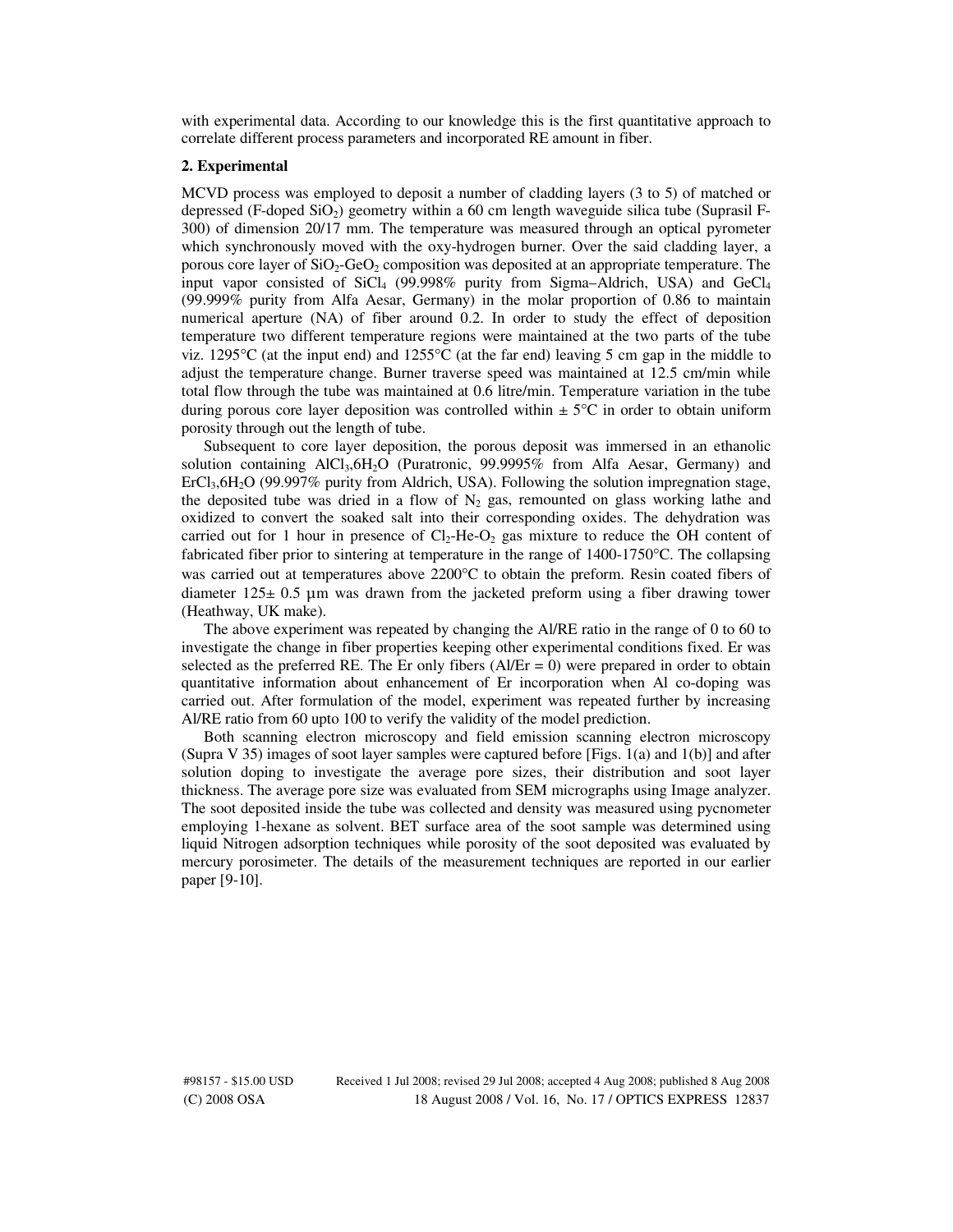with experimental data. According to our knowledge this is the first quantitative approach to correlate different process parameters and incorporated RE amount in fiber.

#### **2. Experimental**

MCVD process was employed to deposit a number of cladding layers (3 to 5) of matched or depressed (F-doped  $SiO<sub>2</sub>$ ) geometry within a 60 cm length waveguide silica tube (Suprasil F-300) of dimension 20/17 mm. The temperature was measured through an optical pyrometer which synchronously moved with the oxy-hydrogen burner. Over the said cladding layer, a porous core layer of  $SiO<sub>2</sub>-GeO<sub>2</sub>$  composition was deposited at an appropriate temperature. The input vapor consisted of SiCl<sub>4</sub> (99.998% purity from Sigma–Aldrich, USA) and GeCl<sub>4</sub> (99.999% purity from Alfa Aesar, Germany) in the molar proportion of 0.86 to maintain numerical aperture (NA) of fiber around 0.2. In order to study the effect of deposition temperature two different temperature regions were maintained at the two parts of the tube viz.  $1295^{\circ}$ C (at the input end) and  $1255^{\circ}$ C (at the far end) leaving 5 cm gap in the middle to adjust the temperature change. Burner traverse speed was maintained at 12.5 cm/min while total flow through the tube was maintained at 0.6 litre/min. Temperature variation in the tube during porous core layer deposition was controlled within  $\pm 5^{\circ}$ C in order to obtain uniform porosity through out the length of tube.

Subsequent to core layer deposition, the porous deposit was immersed in an ethanolic solution containing  $AICI_3,6H_2O$  (Puratronic, 99.9995% from Alfa Aesar, Germany) and ErCl<sub>3</sub>,6H<sub>2</sub>O (99.997% purity from Aldrich, USA). Following the solution impregnation stage, the deposited tube was dried in a flow of  $N_2$  gas, remounted on glass working lathe and oxidized to convert the soaked salt into their corresponding oxides. The dehydration was carried out for 1 hour in presence of  $Cl_2$ -He-O<sub>2</sub> gas mixture to reduce the OH content of fabricated fiber prior to sintering at temperature in the range of 1400-1750°C. The collapsing was carried out at temperatures above 2200°C to obtain the preform. Resin coated fibers of diameter 125± 0.5 µm was drawn from the jacketed preform using a fiber drawing tower (Heathway, UK make).

The above experiment was repeated by changing the Al/RE ratio in the range of 0 to 60 to investigate the change in fiber properties keeping other experimental conditions fixed. Er was selected as the preferred RE. The Er only fibers  $(A/Er = 0)$  were prepared in order to obtain quantitative information about enhancement of Er incorporation when Al co-doping was carried out. After formulation of the model, experiment was repeated further by increasing Al/RE ratio from 60 upto 100 to verify the validity of the model prediction.

Both scanning electron microscopy and field emission scanning electron microscopy (Supra V 35) images of soot layer samples were captured before [Figs. 1(a) and 1(b)] and after solution doping to investigate the average pore sizes, their distribution and soot layer thickness. The average pore size was evaluated from SEM micrographs using Image analyzer. The soot deposited inside the tube was collected and density was measured using pycnometer employing 1-hexane as solvent. BET surface area of the soot sample was determined using liquid Nitrogen adsorption techniques while porosity of the soot deposited was evaluated by mercury porosimeter. The details of the measurement techniques are reported in our earlier paper [9-10].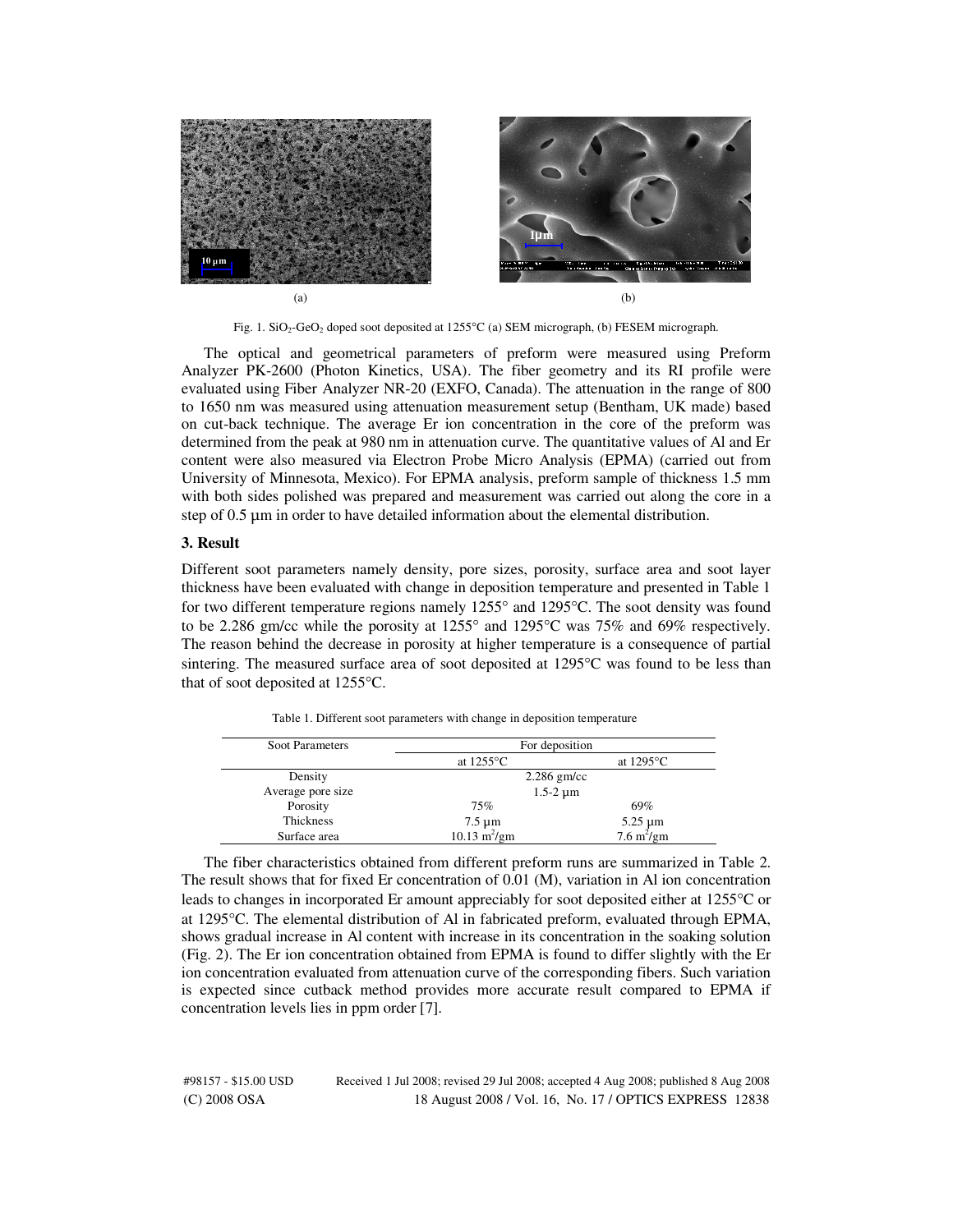

Fig. 1. SiO<sub>2</sub>-GeO<sub>2</sub> doped soot deposited at 1255°C (a) SEM micrograph, (b) FESEM micrograph.

The optical and geometrical parameters of preform were measured using Preform Analyzer PK-2600 (Photon Kinetics, USA). The fiber geometry and its RI profile were evaluated using Fiber Analyzer NR-20 (EXFO, Canada). The attenuation in the range of 800 to 1650 nm was measured using attenuation measurement setup (Bentham, UK made) based on cut-back technique. The average Er ion concentration in the core of the preform was determined from the peak at 980 nm in attenuation curve. The quantitative values of Al and Er content were also measured via Electron Probe Micro Analysis (EPMA) (carried out from University of Minnesota, Mexico). For EPMA analysis, preform sample of thickness 1.5 mm with both sides polished was prepared and measurement was carried out along the core in a step of 0.5 µm in order to have detailed information about the elemental distribution.

## **3. Result**

Different soot parameters namely density, pore sizes, porosity, surface area and soot layer thickness have been evaluated with change in deposition temperature and presented in Table 1 for two different temperature regions namely 1255° and 1295°C. The soot density was found to be 2.286 gm/cc while the porosity at 1255° and 1295°C was 75% and 69% respectively. The reason behind the decrease in porosity at higher temperature is a consequence of partial sintering. The measured surface area of soot deposited at 1295°C was found to be less than that of soot deposited at 1255°C.

| Soot Parameters   | For deposition                |                                        |  |  |  |
|-------------------|-------------------------------|----------------------------------------|--|--|--|
|                   | at $1255^{\circ}$ C           | at $1295^{\circ}$ C                    |  |  |  |
| Density           | $2.286$ gm/cc                 |                                        |  |  |  |
| Average pore size | $1.5 - 2 \mu m$               |                                        |  |  |  |
| Porosity          | 75%                           | 69%                                    |  |  |  |
| Thickness         | 7.5 µm                        |                                        |  |  |  |
| Surface area      | $10.13 \text{ m}^2/\text{gm}$ | $5.25 \mu m$<br>7.6 m <sup>2</sup> /gm |  |  |  |

Table 1. Different soot parameters with change in deposition temperature

The fiber characteristics obtained from different preform runs are summarized in Table 2. The result shows that for fixed Er concentration of 0.01 (M), variation in Al ion concentration leads to changes in incorporated Er amount appreciably for soot deposited either at 1255°C or at 1295°C. The elemental distribution of Al in fabricated preform, evaluated through EPMA, shows gradual increase in Al content with increase in its concentration in the soaking solution (Fig. 2). The Er ion concentration obtained from EPMA is found to differ slightly with the Er ion concentration evaluated from attenuation curve of the corresponding fibers. Such variation is expected since cutback method provides more accurate result compared to EPMA if concentration levels lies in ppm order [7].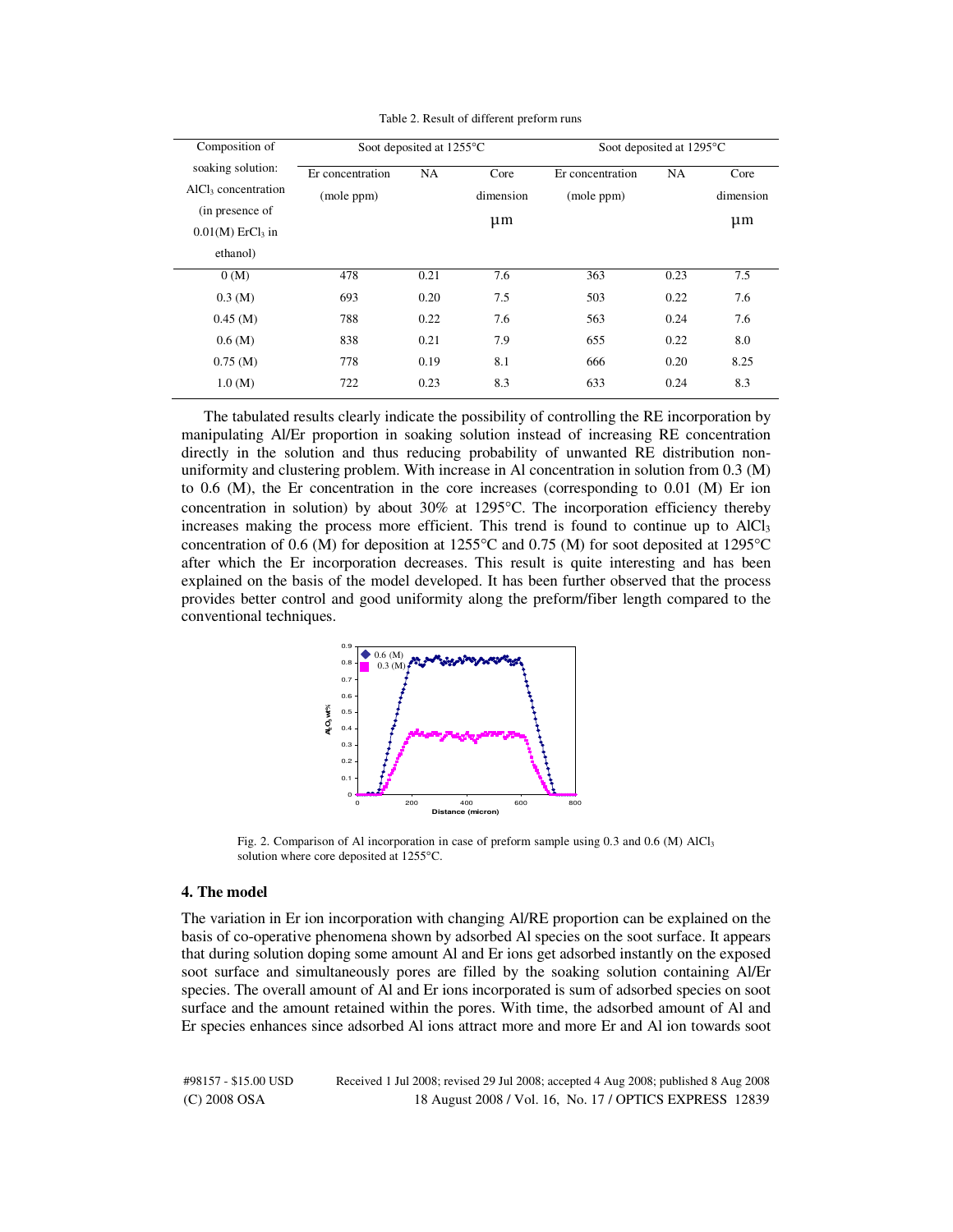| Composition of                                     |                  | Soot deposited at $1255^{\circ}$ C |           | Soot deposited at 1295 °C |           |           |
|----------------------------------------------------|------------------|------------------------------------|-----------|---------------------------|-----------|-----------|
| soaking solution:                                  | Er concentration | <b>NA</b>                          | Core      | Er concentration          | <b>NA</b> | Core      |
| AICI <sub>3</sub> concentration<br>(in presence of | (mole ppm)       |                                    | dimension | (mole ppm)                |           | dimension |
| $0.01(M)$ ErCl <sub>3</sub> in                     |                  |                                    | $\mu$ m   |                           | $\mu$ m   |           |
| ethanol)                                           |                  |                                    |           |                           |           |           |
| 0(M)                                               | 478              | 0.21                               | 7.6       | 363                       | 0.23      | 7.5       |
| $0.3 \, (M)$                                       | 693              | 0.20                               | 7.5       | 503                       | 0.22      | 7.6       |
| 0.45(M)                                            | 788              | 0.22                               | 7.6       | 563                       | 0.24      | 7.6       |
| 0.6(M)                                             | 838              | 0.21                               | 7.9       | 655                       | 0.22      | 8.0       |
| 0.75(M)                                            | 778              | 0.19                               | 8.1       | 666                       | 0.20      | 8.25      |
| 1.0(M)                                             | 722              | 0.23                               | 8.3       | 633                       | 0.24      | 8.3       |

Table 2. Result of different preform runs

The tabulated results clearly indicate the possibility of controlling the RE incorporation by manipulating Al/Er proportion in soaking solution instead of increasing RE concentration directly in the solution and thus reducing probability of unwanted RE distribution nonuniformity and clustering problem. With increase in Al concentration in solution from 0.3 (M) to 0.6 (M), the Er concentration in the core increases (corresponding to 0.01 (M) Er ion concentration in solution) by about  $30\%$  at  $1295\degree$ C. The incorporation efficiency thereby increases making the process more efficient. This trend is found to continue up to  $AICI_3$ concentration of 0.6 (M) for deposition at 1255°C and 0.75 (M) for soot deposited at 1295°C after which the Er incorporation decreases. This result is quite interesting and has been explained on the basis of the model developed. It has been further observed that the process provides better control and good uniformity along the preform/fiber length compared to the conventional techniques.



Fig. 2. Comparison of Al incorporation in case of preform sample using 0.3 and 0.6 (M) AlCl<sub>3</sub> solution where core deposited at 1255°C.

## **4. The model**

The variation in Er ion incorporation with changing Al/RE proportion can be explained on the basis of co-operative phenomena shown by adsorbed Al species on the soot surface. It appears that during solution doping some amount Al and Er ions get adsorbed instantly on the exposed soot surface and simultaneously pores are filled by the soaking solution containing Al/Er species. The overall amount of Al and Er ions incorporated is sum of adsorbed species on soot surface and the amount retained within the pores. With time, the adsorbed amount of Al and Er species enhances since adsorbed Al ions attract more and more Er and Al ion towards soot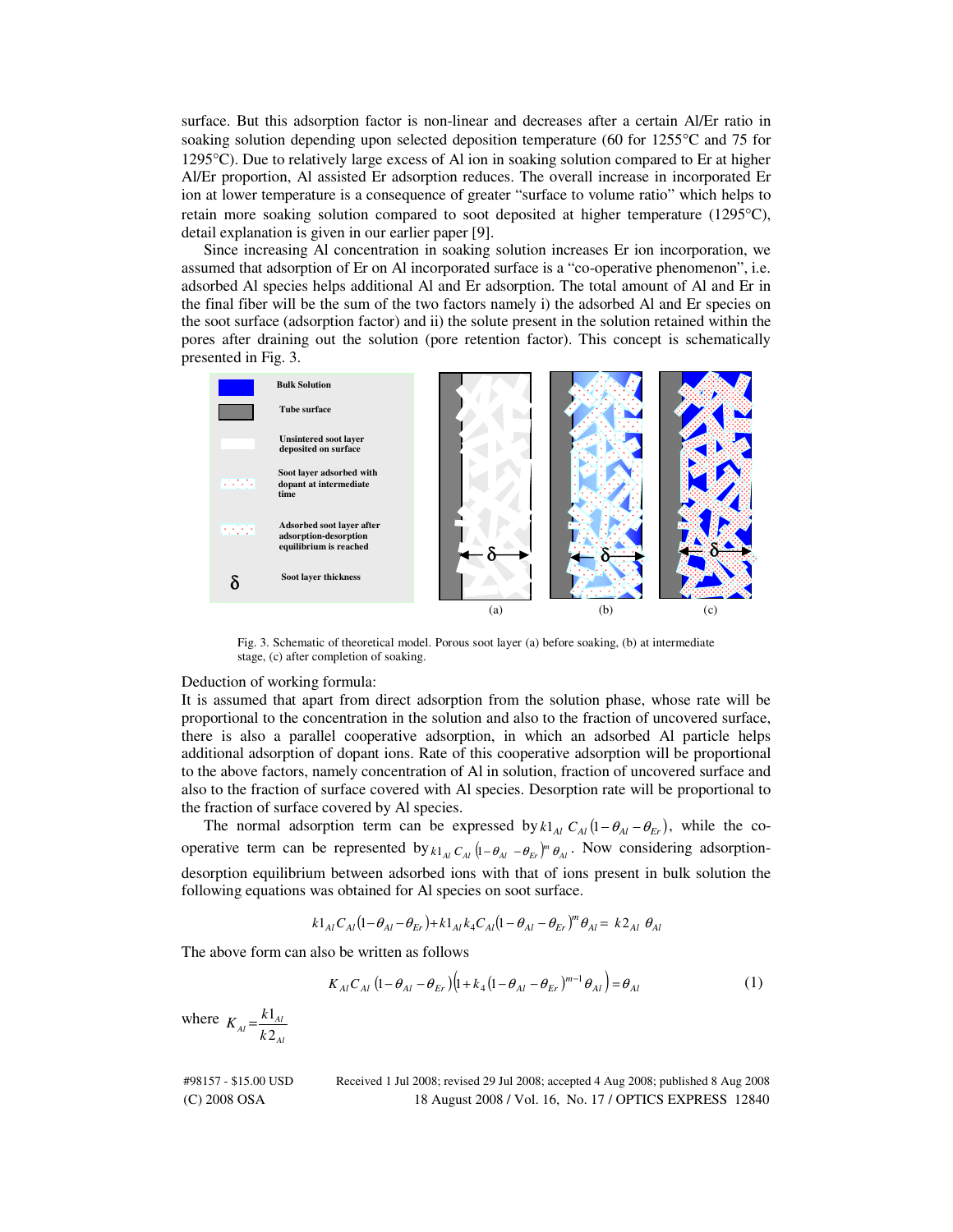surface. But this adsorption factor is non-linear and decreases after a certain Al/Er ratio in soaking solution depending upon selected deposition temperature (60 for 1255°C and 75 for 1295°C). Due to relatively large excess of Al ion in soaking solution compared to Er at higher Al/Er proportion, Al assisted Er adsorption reduces. The overall increase in incorporated Er ion at lower temperature is a consequence of greater "surface to volume ratio" which helps to retain more soaking solution compared to soot deposited at higher temperature (1295°C), detail explanation is given in our earlier paper [9].

Since increasing Al concentration in soaking solution increases Er ion incorporation, we assumed that adsorption of Er on Al incorporated surface is a "co-operative phenomenon", i.e. adsorbed Al species helps additional Al and Er adsorption. The total amount of Al and Er in the final fiber will be the sum of the two factors namely i) the adsorbed Al and Er species on the soot surface (adsorption factor) and ii) the solute present in the solution retained within the pores after draining out the solution (pore retention factor). This concept is schematically presented in Fig. 3.



Fig. 3. Schematic of theoretical model. Porous soot layer (a) before soaking, (b) at intermediate stage, (c) after completion of soaking.

## Deduction of working formula:

It is assumed that apart from direct adsorption from the solution phase, whose rate will be proportional to the concentration in the solution and also to the fraction of uncovered surface, there is also a parallel cooperative adsorption, in which an adsorbed Al particle helps additional adsorption of dopant ions. Rate of this cooperative adsorption will be proportional to the above factors, namely concentration of Al in solution, fraction of uncovered surface and also to the fraction of surface covered with Al species. Desorption rate will be proportional to the fraction of surface covered by Al species.

The normal adsorption term can be expressed by  $k1_{Al} C_{Al} (1 - \theta_{Al} - \theta_{Er})$ , while the cooperative term can be represented by  $k_1 A_l C_{Al} (1 - \theta_{Al} - \theta_{Er})^m \theta_{Al}$ . Now considering adsorptiondesorption equilibrium between adsorbed ions with that of ions present in bulk solution the following equations was obtained for Al species on soot surface.

$$
k1_{Al}C_{Al}(1-\theta_{Al}-\theta_{Er})+k1_{Al}k_{4}C_{Al}(1-\theta_{Al}-\theta_{Er})^{m}\theta_{Al}=k2_{Al}\theta_{Al}
$$

The above form can also be written as follows

$$
K_{Al}C_{Al} \left(1-\theta_{Al} - \theta_{Er}\right) \left(1+k_4\left(1-\theta_{Al} - \theta_{Er}\right)^{m-1}\theta_{Al}\right) = \theta_{Al} \tag{1}
$$

where *Al*  $A_l = \frac{K I_{Al}}{k 2_A}$  $K_{Al} = \frac{k1}{k2}$  $=\frac{k1}{16}$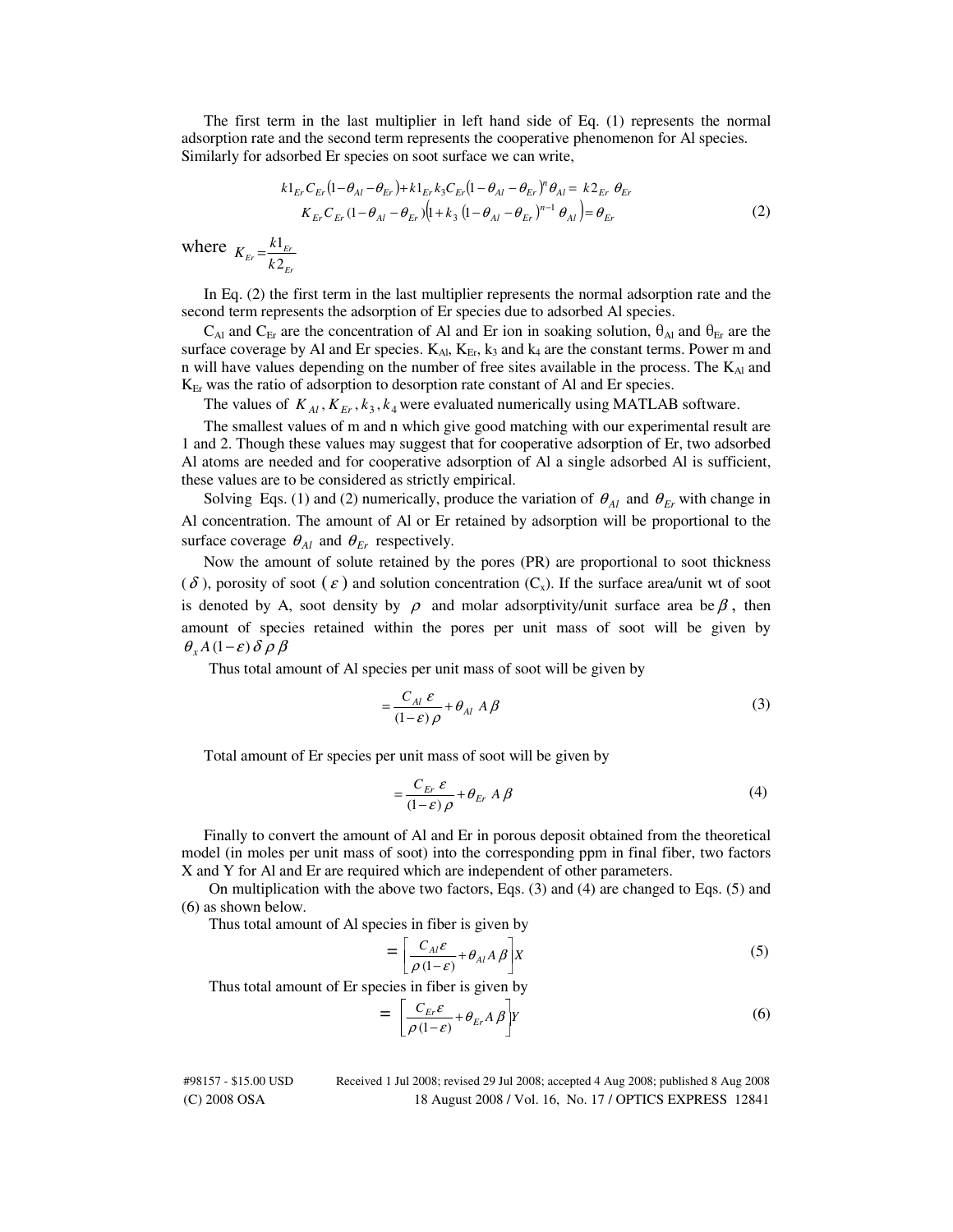The first term in the last multiplier in left hand side of Eq. (1) represents the normal adsorption rate and the second term represents the cooperative phenomenon for Al species. Similarly for adsorbed Er species on soot surface we can write,

$$
k1_{Er}C_{Er}(1-\theta_{Al}-\theta_{Er})+k1_{Er}k_{3}C_{Er}(1-\theta_{Al}-\theta_{Er})^{n}\theta_{Al}=k2_{Er}\theta_{Er}
$$

$$
K_{Er}C_{Er}(1-\theta_{Al}-\theta_{Er})\left(1+k_{3}(1-\theta_{Al}-\theta_{Er})^{n-1}\theta_{Al}\right)=\theta_{Er}
$$
(2)

where *Er*  $E_r = \frac{\kappa_1}{k_2} E_r$  $K_{Er} = \frac{k1}{k2}$  $=\frac{k1}{12}$ 

In Eq. (2) the first term in the last multiplier represents the normal adsorption rate and the second term represents the adsorption of Er species due to adsorbed Al species.

C<sub>Al</sub> and C<sub>Er</sub> are the concentration of Al and Er ion in soaking solution,  $\theta_{Al}$  and  $\theta_{Er}$  are the surface coverage by Al and Er species.  $K_{Al}$ ,  $K_{Er}$ ,  $k_3$  and  $k_4$  are the constant terms. Power m and n will have values depending on the number of free sites available in the process. The KAI and  $K_{Er}$  was the ratio of adsorption to desorption rate constant of Al and Er species.

The values of  $K_{AI}$ ,  $K_{Er}$ ,  $k_3$ ,  $k_4$  were evaluated numerically using MATLAB software.

The smallest values of m and n which give good matching with our experimental result are 1 and 2. Though these values may suggest that for cooperative adsorption of Er, two adsorbed Al atoms are needed and for cooperative adsorption of Al a single adsorbed Al is sufficient, these values are to be considered as strictly empirical.

Solving Eqs. (1) and (2) numerically, produce the variation of  $\theta_{Al}$  and  $\theta_{Er}$  with change in Al concentration. The amount of Al or Er retained by adsorption will be proportional to the surface coverage  $\theta_{Al}$  and  $\theta_{Er}$  respectively.

Now the amount of solute retained by the pores (PR) are proportional to soot thickness  $(\delta)$ , porosity of soot  $(\varepsilon)$  and solution concentration  $(C_x)$ . If the surface area/unit wt of soot is denoted by A, soot density by  $\rho$  and molar adsorptivity/unit surface area be  $\beta$ , then amount of species retained within the pores per unit mass of soot will be given by  $\theta$ <sub>r</sub> $A(1-\varepsilon) \delta \rho \beta$ 

Thus total amount of Al species per unit mass of soot will be given by

$$
=\frac{C_{Al}\varepsilon}{(1-\varepsilon)\rho}+\theta_{Al} A\beta
$$
\n(3)

Total amount of Er species per unit mass of soot will be given by

$$
=\frac{C_{Er}\varepsilon}{(1-\varepsilon)\rho}+\theta_{Er}A\beta
$$
\n(4)

Finally to convert the amount of Al and Er in porous deposit obtained from the theoretical model (in moles per unit mass of soot) into the corresponding ppm in final fiber, two factors X and Y for Al and Er are required which are independent of other parameters.

On multiplication with the above two factors, Eqs. (3) and (4) are changed to Eqs. (5) and (6) as shown below.

Thus total amount of Al species in fiber is given by

$$
= \left[ \frac{C_{AI}\varepsilon}{\rho(1-\varepsilon)} + \theta_{AI} A \beta \right] X \tag{5}
$$

Thus total amount of Er species in fiber is given by

$$
= \left[ \frac{C_{Er}\varepsilon}{\rho(1-\varepsilon)} + \theta_{Er} A \beta \right] Y \tag{6}
$$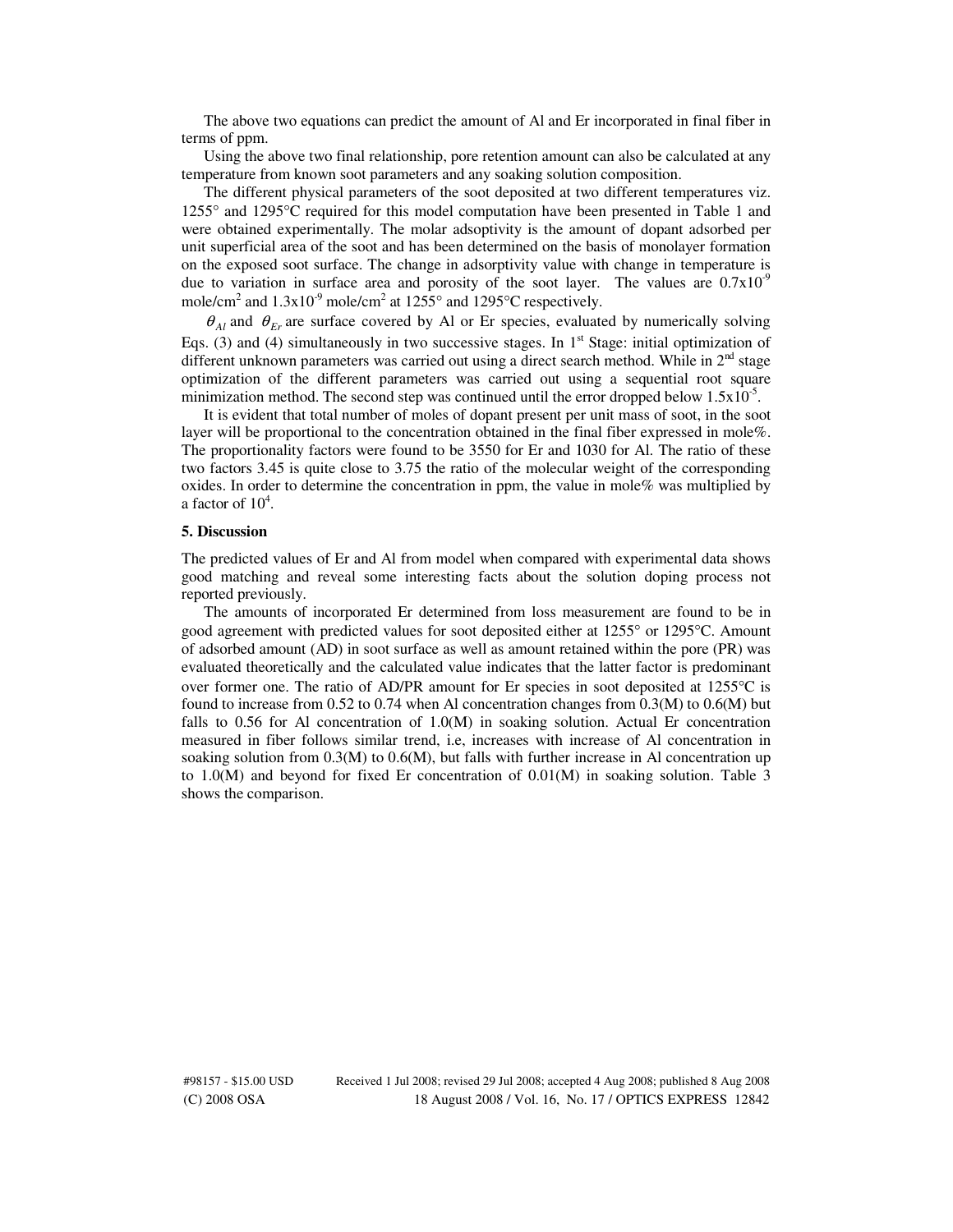The above two equations can predict the amount of Al and Er incorporated in final fiber in terms of ppm.

Using the above two final relationship, pore retention amount can also be calculated at any temperature from known soot parameters and any soaking solution composition.

The different physical parameters of the soot deposited at two different temperatures viz. 1255° and 1295°C required for this model computation have been presented in Table 1 and were obtained experimentally. The molar adsoptivity is the amount of dopant adsorbed per unit superficial area of the soot and has been determined on the basis of monolayer formation on the exposed soot surface. The change in adsorptivity value with change in temperature is due to variation in surface area and porosity of the soot layer. The values are  $0.7 \times 10^{-9}$ mole/cm<sup>2</sup> and  $1.3x10^9$  mole/cm<sup>2</sup> at  $1255^\circ$  and  $1295^\circ$ C respectively.

 $\theta_{Al}$  and  $\theta_{Er}$  are surface covered by Al or Er species, evaluated by numerically solving Eqs. (3) and (4) simultaneously in two successive stages. In  $1<sup>st</sup>$  Stage: initial optimization of different unknown parameters was carried out using a direct search method. While in  $2<sup>nd</sup>$  stage optimization of the different parameters was carried out using a sequential root square minimization method. The second step was continued until the error dropped below  $1.5 \times 10^{-5}$ .

It is evident that total number of moles of dopant present per unit mass of soot, in the soot layer will be proportional to the concentration obtained in the final fiber expressed in mole%. The proportionality factors were found to be 3550 for Er and 1030 for Al. The ratio of these two factors 3.45 is quite close to 3.75 the ratio of the molecular weight of the corresponding oxides. In order to determine the concentration in ppm, the value in mole% was multiplied by a factor of  $10^4$ .

### **5. Discussion**

The predicted values of Er and Al from model when compared with experimental data shows good matching and reveal some interesting facts about the solution doping process not reported previously.

The amounts of incorporated Er determined from loss measurement are found to be in good agreement with predicted values for soot deposited either at 1255° or 1295°C. Amount of adsorbed amount (AD) in soot surface as well as amount retained within the pore (PR) was evaluated theoretically and the calculated value indicates that the latter factor is predominant over former one. The ratio of AD/PR amount for Er species in soot deposited at 1255°C is found to increase from 0.52 to 0.74 when Al concentration changes from 0.3(M) to 0.6(M) but falls to 0.56 for Al concentration of 1.0(M) in soaking solution. Actual Er concentration measured in fiber follows similar trend, i.e, increases with increase of Al concentration in soaking solution from  $0.3(M)$  to  $0.6(M)$ , but falls with further increase in Al concentration up to 1.0(M) and beyond for fixed Er concentration of 0.01(M) in soaking solution. Table 3 shows the comparison.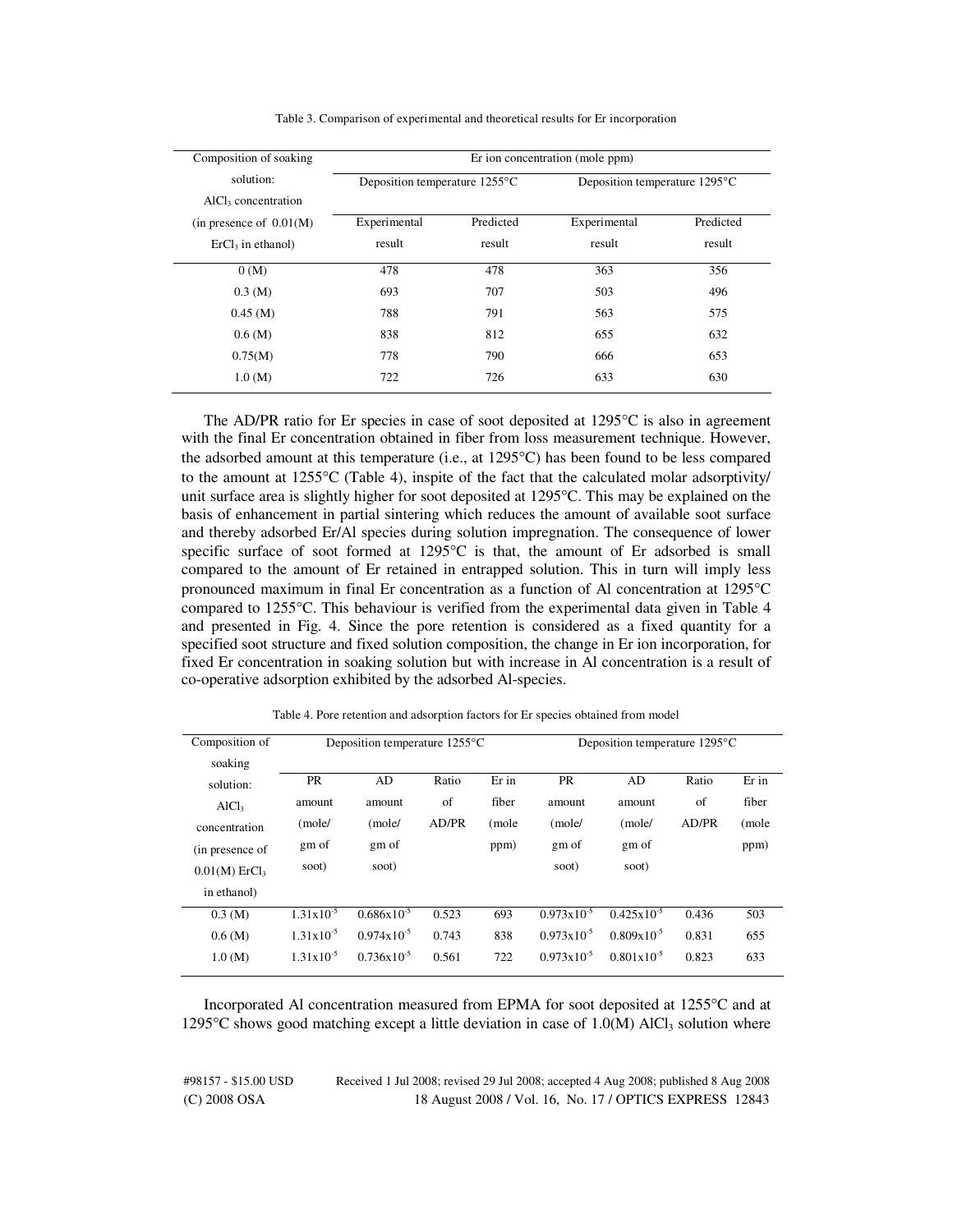| Composition of soaking          | Er ion concentration (mole ppm)         |           |                                         |           |  |  |
|---------------------------------|-----------------------------------------|-----------|-----------------------------------------|-----------|--|--|
| solution:                       | Deposition temperature $1255^{\circ}$ C |           | Deposition temperature $1295^{\circ}$ C |           |  |  |
| AICI <sub>3</sub> concentration |                                         |           |                                         |           |  |  |
| (in presence of $0.01(M)$ )     | Experimental                            | Predicted | Experimental                            | Predicted |  |  |
| $ErCl3$ in ethanol)             | result                                  | result    | result                                  | result    |  |  |
| 0(M)                            | 478                                     | 478       | 363                                     | 356       |  |  |
| 0.3(M)                          | 693                                     | 707       | 503                                     | 496       |  |  |
| 0.45(M)                         | 788                                     | 791       | 563                                     | 575       |  |  |
| 0.6(M)                          | 838                                     | 812       | 655                                     | 632       |  |  |
| 0.75(M)                         | 778                                     | 790       | 666                                     | 653       |  |  |
| 1.0(M)                          | 722                                     | 726       | 633                                     | 630       |  |  |

Table 3. Comparison of experimental and theoretical results for Er incorporation

The AD/PR ratio for Er species in case of soot deposited at  $1295^{\circ}$ C is also in agreement with the final Er concentration obtained in fiber from loss measurement technique. However, the adsorbed amount at this temperature (i.e., at 1295°C) has been found to be less compared to the amount at 1255°C (Table 4), inspite of the fact that the calculated molar adsorptivity/ unit surface area is slightly higher for soot deposited at 1295°C. This may be explained on the basis of enhancement in partial sintering which reduces the amount of available soot surface and thereby adsorbed Er/Al species during solution impregnation. The consequence of lower specific surface of soot formed at  $1295^{\circ}$ C is that, the amount of Er adsorbed is small compared to the amount of Er retained in entrapped solution. This in turn will imply less pronounced maximum in final Er concentration as a function of Al concentration at 1295°C compared to 1255°C. This behaviour is verified from the experimental data given in Table 4 and presented in Fig. 4. Since the pore retention is considered as a fixed quantity for a specified soot structure and fixed solution composition, the change in Er ion incorporation, for fixed Er concentration in soaking solution but with increase in Al concentration is a result of co-operative adsorption exhibited by the adsorbed Al-species.

| Deposition temperature $1255^{\circ}$ C |                        |       | Deposition temperature $1295^{\circ}$ C |                        |                        |       |       |
|-----------------------------------------|------------------------|-------|-----------------------------------------|------------------------|------------------------|-------|-------|
|                                         |                        |       |                                         |                        |                        |       |       |
| PR                                      | AD                     | Ratio | Er in                                   | <b>PR</b>              | AD                     | Ratio | Er in |
| amount                                  | amount                 | of    | fiber                                   | amount                 | amount                 | of    | fiber |
| (mole/                                  | (mole/                 | AD/PR | (mole                                   | (mole/                 | (mole/                 | AD/PR | (mole |
| gm of                                   | gm of                  |       | ppm)                                    | gm of                  | gm of                  |       | ppm)  |
| soot)                                   | soot)                  |       |                                         | soot)                  | soot)                  |       |       |
|                                         |                        |       |                                         |                        |                        |       |       |
| $1.31x10^{-5}$                          | $0.686x10^{-5}$        | 0.523 | 693                                     | $0.973 \times 10^{-5}$ | $0.425x10^{-5}$        | 0.436 | 503   |
| $1.31x10^{-5}$                          | $0.974 \times 10^{-5}$ | 0.743 | 838                                     | $0.973 \times 10^{-5}$ | $0.809x10^{-5}$        | 0.831 | 655   |
| $1.31x10^{-5}$                          | $0.736x10^{-5}$        | 0.561 | 722                                     | $0.973 \times 10^{-5}$ | $0.801 \times 10^{-5}$ | 0.823 | 633   |
|                                         |                        |       |                                         |                        |                        |       |       |

Table 4. Pore retention and adsorption factors for Er species obtained from model

Incorporated Al concentration measured from EPMA for soot deposited at 1255°C and at 1295 $\degree$ C shows good matching except a little deviation in case of 1.0(M) AlCl<sub>3</sub> solution where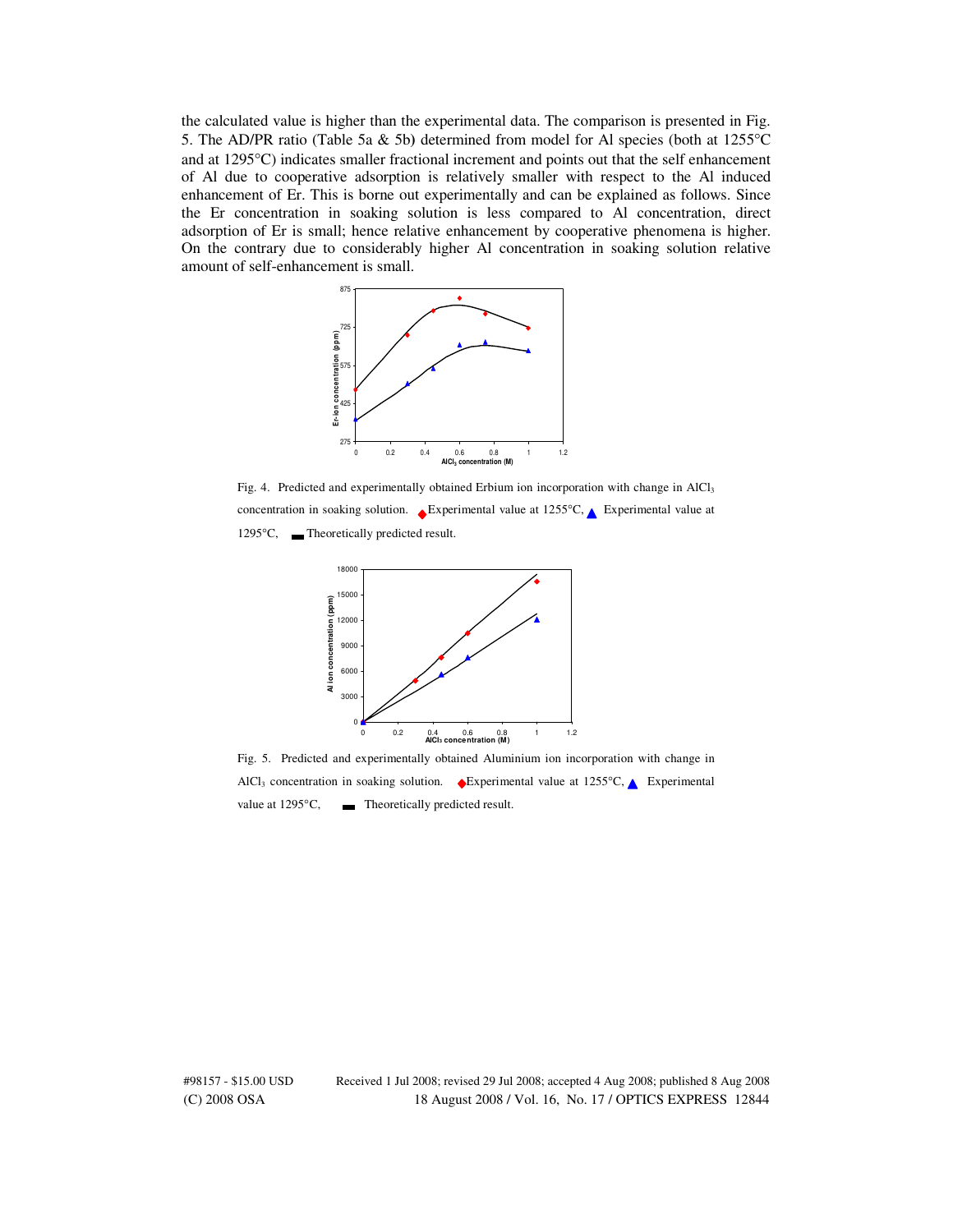the calculated value is higher than the experimental data. The comparison is presented in Fig. 5. The AD/PR ratio (Table 5a & 5b**)** determined from model for Al species (both at 1255°C and at 1295°C) indicates smaller fractional increment and points out that the self enhancement of Al due to cooperative adsorption is relatively smaller with respect to the Al induced enhancement of Er. This is borne out experimentally and can be explained as follows. Since the Er concentration in soaking solution is less compared to Al concentration, direct adsorption of Er is small; hence relative enhancement by cooperative phenomena is higher. On the contrary due to considerably higher Al concentration in soaking solution relative amount of self-enhancement is small.



Fig. 4. Predicted and experimentally obtained Erbium ion incorporation with change in AlCl<sub>3</sub> concentration in soaking solution. Experimental value at  $1255^{\circ}$ C, Experimental value at 1295°C, **Theoretically predicted result.** 



Fig. 5. Predicted and experimentally obtained Aluminium ion incorporation with change in AlCl<sub>3</sub> concentration in soaking solution. Experimental value at 1255°C,  $\triangle$  Experimental value at 1295°C, Theoretically predicted result.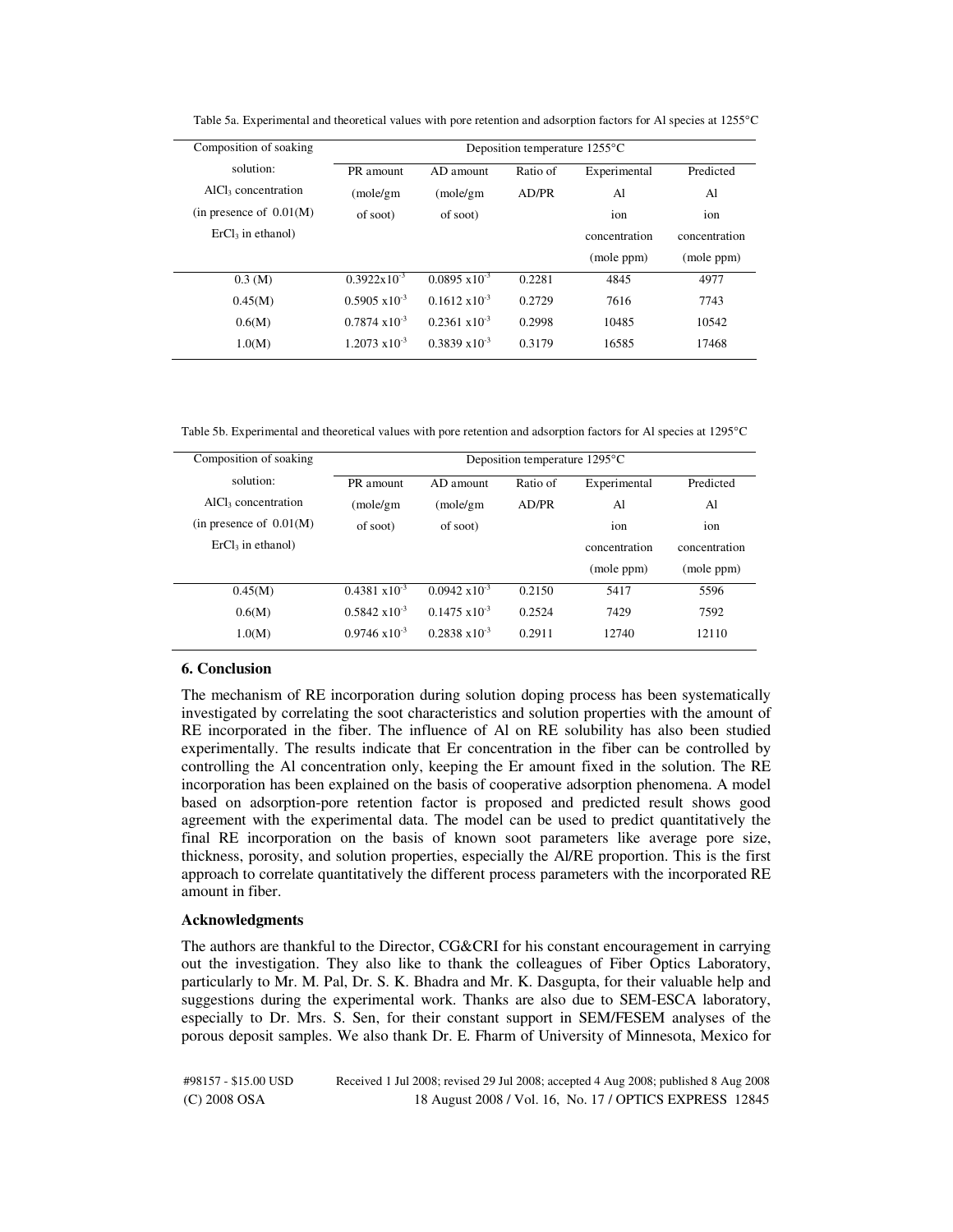| Composition of soaking          | Deposition temperature $1255^{\circ}$ C |                         |          |               |               |  |
|---------------------------------|-----------------------------------------|-------------------------|----------|---------------|---------------|--|
| solution:                       | PR amount                               | AD amount               | Ratio of | Experimental  | Predicted     |  |
| AICI <sub>3</sub> concentration | (mole/gm)                               | (mole/gm)               | AD/PR    | Al            | Al            |  |
| (in presence of $0.01(M)$ )     | of soot)                                | of soot)                |          | ion           | ion           |  |
| $ErCl3$ in ethanol)             |                                         |                         |          | concentration | concentration |  |
|                                 |                                         |                         |          | (mole ppm)    | (mole ppm)    |  |
| 0.3(M)                          | $0.3922 \times 10^{-3}$                 | $0.0895 \times 10^{-3}$ | 0.2281   | 4845          | 4977          |  |
| 0.45(M)                         | $0.5905 \times 10^{-3}$                 | $0.1612 \times 10^{-3}$ | 0.2729   | 7616          | 7743          |  |
| 0.6(M)                          | $0.7874 \times 10^{-3}$                 | $0.2361 \times 10^{-3}$ | 0.2998   | 10485         | 10542         |  |
| 1.0(M)                          | $1.2073 \times 10^{-3}$                 | $0.3839 \times 10^{-3}$ | 0.3179   | 16585         | 17468         |  |

Table 5a. Experimental and theoretical values with pore retention and adsorption factors for Al species at 1255°C

Table 5b. Experimental and theoretical values with pore retention and adsorption factors for Al species at 1295°C

| Composition of soaking          | Deposition temperature $1295^{\circ}$ C |                         |          |               |               |  |  |
|---------------------------------|-----------------------------------------|-------------------------|----------|---------------|---------------|--|--|
| solution:                       | PR amount                               | AD amount               | Ratio of | Experimental  | Predicted     |  |  |
| AICI <sub>3</sub> concentration | (mole/gm)                               | (mole/gm)               | AD/PR    | Al            | Al            |  |  |
| (in presence of $0.01(M)$ )     | of soot)                                | of soot)                |          | ion           | ion           |  |  |
| $E rCl3$ in ethanol)            |                                         |                         |          | concentration | concentration |  |  |
|                                 |                                         |                         |          | (mole ppm)    | (mole ppm)    |  |  |
| 0.45(M)                         | $0.4381 \times 10^{-3}$                 | $0.0942 \times 10^{-3}$ | 0.2150   | 5417          | 5596          |  |  |
| 0.6(M)                          | $0.5842 \times 10^{-3}$                 | $0.1475 \times 10^{-3}$ | 0.2524   | 7429          | 7592          |  |  |
| 1.0(M)                          | $0.9746 \times 10^{-3}$                 | $0.2838 \times 10^{-3}$ | 0.2911   | 12740         | 12110         |  |  |

# **6. Conclusion**

The mechanism of RE incorporation during solution doping process has been systematically investigated by correlating the soot characteristics and solution properties with the amount of RE incorporated in the fiber. The influence of Al on RE solubility has also been studied experimentally. The results indicate that Er concentration in the fiber can be controlled by controlling the Al concentration only, keeping the Er amount fixed in the solution. The RE incorporation has been explained on the basis of cooperative adsorption phenomena. A model based on adsorption-pore retention factor is proposed and predicted result shows good agreement with the experimental data. The model can be used to predict quantitatively the final RE incorporation on the basis of known soot parameters like average pore size, thickness, porosity, and solution properties, especially the Al/RE proportion. This is the first approach to correlate quantitatively the different process parameters with the incorporated RE amount in fiber.

#### **Acknowledgments**

The authors are thankful to the Director, CG&CRI for his constant encouragement in carrying out the investigation. They also like to thank the colleagues of Fiber Optics Laboratory, particularly to Mr. M. Pal, Dr. S. K. Bhadra and Mr. K. Dasgupta, for their valuable help and suggestions during the experimental work. Thanks are also due to SEM-ESCA laboratory, especially to Dr. Mrs. S. Sen, for their constant support in SEM/FESEM analyses of the porous deposit samples. We also thank Dr. E. Fharm of University of Minnesota, Mexico for